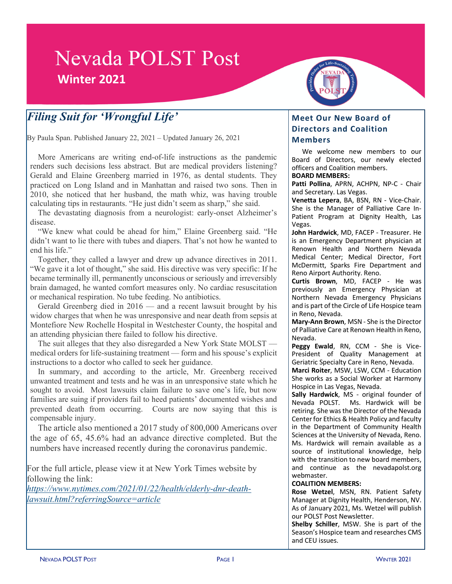# **Nevada POLST Post Winter 2021**

# *Filing Suit for 'Wrongful Life'*

By Paula Span. Published January 22, 2021 – Updated January 26, 2021

More Americans are writing end-of-life instructions as the pandemic renders such decisions less abstract. But are medical providers listening? Gerald and Elaine Greenberg married in 1976, as dental students. They practiced on Long Island and in Manhattan and raised two sons. Then in 2010, she noticed that her husband, the math whiz, was having trouble calculating tips in restaurants. "He just didn't seem as sharp," she said.

The devastating diagnosis from a neurologist: early-onset Alzheimer's disease.

"We knew what could be ahead for him," Elaine Greenberg said. "He didn't want to lie there with tubes and diapers. That's not how he wanted to end his life."

Together, they called a lawyer and drew up advance directives in 2011. "We gave it a lot of thought," she said. His directive was very specific: If he became terminally ill, permanently unconscious or seriously and irreversibly brain damaged, he wanted comfort measures only. No cardiac resuscitation or mechanical respiration. No tube feeding. No antibiotics.

Gerald Greenberg died in 2016 — and a recent lawsuit brought by his widow charges that when he was unresponsive and near death from sepsis at Montefiore New Rochelle Hospital in Westchester County, the hospital and an attending physician there failed to follow his directive.

The suit alleges that they also disregarded a New York State MOLST medical orders for life-sustaining treatment — form and his spouse's explicit instructions to a doctor who called to seek her guidance.

In summary, and according to the article, Mr. Greenberg received unwanted treatment and tests and he was in an unresponsive state which he sought to avoid. Most lawsuits claim failure to save one's life, but now families are suing if providers fail to heed patients' documented wishes and prevented death from occurring. Courts are now saying that this is compensable injury.

The article also mentioned a 2017 study of 800,000 Americans over the age of 65, 45.6% had an advance directive completed. But the numbers have increased recently during the coronavirus pandemic.

For the full article, please view it at New York Times website by following the link:

*https://www.nytimes.com/2021/01/22/health/elderly-dnr-deathlawsuit.html?referringSource=article*

### **Meet Our New Board of Directors and Coalition Members**

We welcome new members to our Board of Directors, our newly elected officers and Coalition members. **BOARD MEMBERS:**

**Patti Pollina**, APRN, ACHPN, NP-C - Chair and Secretary. Las Vegas.

**Venetta Lepera**, BA, BSN, RN - Vice-Chair. She is the Manager of Palliative Care In-Patient Program at Dignity Health, Las Vegas.

**John Hardwick**, MD, FACEP - Treasurer. He is an Emergency Department physician at Renown Health and Northern Nevada Medical Center; Medical Director, Fort McDermitt, Sparks Fire Department and Reno Airport Authority. Reno.

**Curtis Brown**, MD, FACEP - He was previously an Emergency Physician at Northern Nevada Emergency Physicians and is part of the Circle of Life Hospice team in Reno, Nevada.

**Mary-Ann Brown**, MSN - She isthe Director of Palliative Care at Renown Health in Reno, Nevada.

**Peggy Ewald**, RN, CCM - She is Vice-President of Quality Management at Geriatric Specialty Care in Reno, Nevada.

**Marci Roiter**, MSW, LSW, CCM - Education She works as a Social Worker at Harmony Hospice in Las Vegas, Nevada.

**Sally Hardwick**, MS - original founder of Nevada POLST. Ms. Hardwick will be retiring. She was the Director of the Nevada Center for Ethics & Health Policy and faculty in the Department of Community Health Sciences at the University of Nevada, Reno. Ms. Hardwick will remain available as a source of institutional knowledge, help with the transition to new board members, and continue as the nevadapolst.org webmaster.

#### **COALITION MEMBERS:**

**Rose Wetzel**, MSN, RN. Patient Safety Manager at Dignity Health, Henderson, NV. As of January 2021, Ms. Wetzel will publish our POLST Post Newsletter.

**Shelby Schiller**, MSW. She is part of the Season's Hospice team and researches CMS and CEU issues.